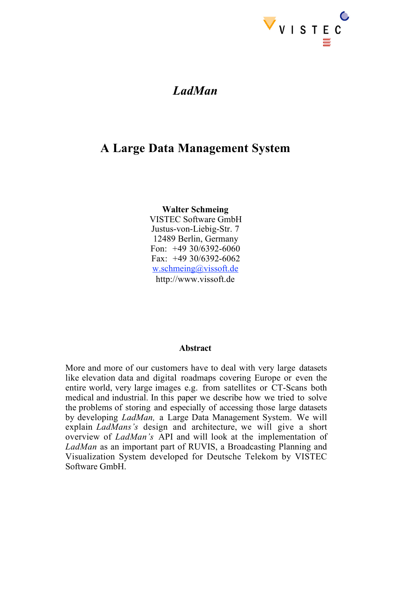

# *LadMan*

# A Large Data Management System

Walter Schmeing

VISTEC Software GmbH Justus-von-Liebig-Str. 7 12489 Berlin, Germany Fon: +49 30/6392-6060 Fax: +49 30/6392-6062 w.schmeing@vissoft.de http://www.vissoft.de

#### Abstract

More and more of our customers have to deal with very large datasets like elevation data and digital roadmaps covering Europe or even the entire world, very large images e.g. from satellites or CT-Scans both medical and industrial. In this paper we describe how we tried to solve the problems of storing and especially of accessing those large datasets by developing *LadMan,* a Large Data Management System. We will explain *LadMans's* design and architecture, we will give a short overview of *LadMan's* API and will look at the implementation of *LadMan* as an important part of RUVIS, a Broadcasting Planning and Visualization System developed for Deutsche Telekom by VISTEC Software GmbH.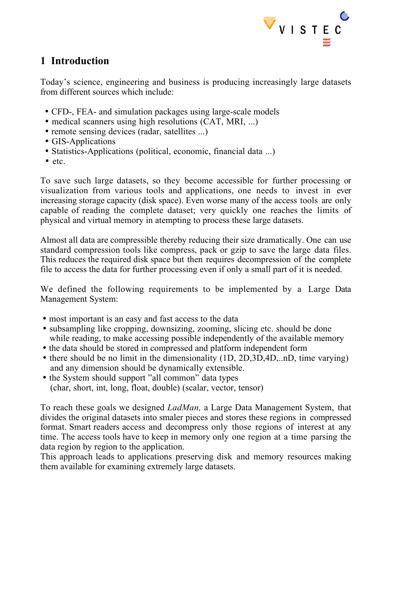

## 1 Introduction

Today's science, engineering and business is producing increasingly large datasets from different sources which include:

- CFD-, FEA- and simulation packages using large-scale models
- medical scanners using high resolutions (CAT, MRI, ...)
- remote sensing devices (radar, satellites ...)
- GIS-Applications
- Statistics-Applications (political, economic, financial data ...)
- etc.

To save such large datasets, so they become accessible for further processing or visualization from various tools and applications, one needs to invest in ever increasing storage capacity (disk space). Even worse many of the access tools are only capable of reading the complete dataset; very quickly one reaches the limits of physical and virtual memory in atempting to process these large datasets.

Almost all data are compressible thereby reducing their size dramatically. One can use standard compression tools like compress, pack or gzip to save the large data files. This reduces the required disk space but then requires decompression of the complete file to access the data for further processing even if only a small part of it is needed.

We defined the following requirements to be implemented by a Large Data Management System:

- most important is an easy and fast access to the data
- subsampling like cropping, downsizing, zooming, slicing etc. should be done while reading, to make accessing possible independently of the available memory
- the data should be stored in compressed and platform independent form
- there should be no limit in the dimensionality (1D, 2D,3D,4D,..nD, time varying) and any dimension should be dynamically extensible.
- the System should support "all common" data types (char, short, int, long, float, double) (scalar, vector, tensor)

To reach these goals we designed *LadMan,* a Large Data Management System, that divides the original datasets into smaler pieces and stores these regions in compressed format. Smart readers access and decompress only those regions of interest at any time. The access tools have to keep in memory only one region at a time parsing the data region by region to the application.

This approach leads to applications preserving disk and memory resources making them available for examining extremely large datasets.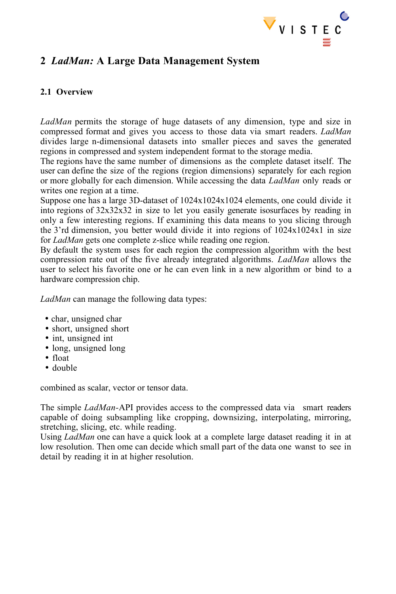

# 2 *LadMan:* A Large Data Management System

### 2.1 Overview

*LadMan* permits the storage of huge datasets of any dimension, type and size in compressed format and gives you access to those data via smart readers. *LadMan* divides large n-dimensional datasets into smaller pieces and saves the generated regions in compressed and system independent format to the storage media.

The regions have the same number of dimensions as the complete dataset itself. The user can define the size of the regions (region dimensions) separately for each region or more globally for each dimension. While accessing the data *LadMan* only reads or writes one region at a time.

Suppose one has a large 3D-dataset of 1024x1024x1024 elements, one could divide it into regions of  $32x32x32$  in size to let you easily generate isosurfaces by reading in only a few interesting regions. If examining this data means to you slicing through the 3'rd dimension, you better would divide it into regions of 1024x1024x1 in size for *LadMan* gets one complete z-slice while reading one region.

By default the system uses for each region the compression algorithm with the best compression rate out of the five already integrated algorithms. *LadMan* allows the user to select his favorite one or he can even link in a new algorithm or bind to a hardware compression chip.

*LadMan* can manage the following data types:

- char, unsigned char
- short, unsigned short
- int, unsigned int
- long, unsigned long
- float
- double

combined as scalar, vector or tensor data.

The simple *LadMan-*API provides access to the compressed data via smart readers capable of doing subsampling like cropping, downsizing, interpolating, mirroring, stretching, slicing, etc. while reading.

Using *LadMan* one can have a quick look at a complete large dataset reading it in at low resolution. Then ome can decide which small part of the data one wanst to see in detail by reading it in at higher resolution.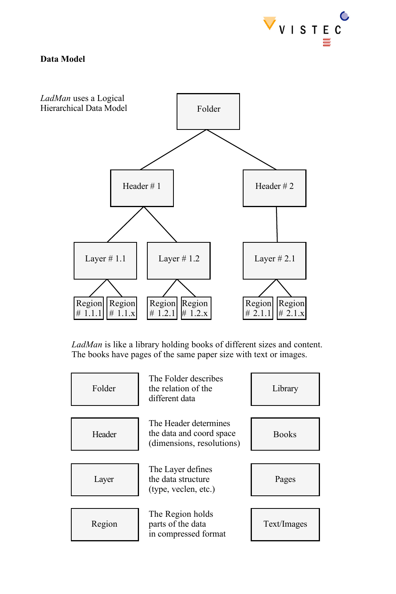

### Data Model



*LadMan* is like a library holding books of different sizes and content. The books have pages of the same paper size with text or images.

| Folder | The Folder describes<br>the relation of the<br>different data                  | Library      |
|--------|--------------------------------------------------------------------------------|--------------|
|        |                                                                                |              |
| Header | The Header determines<br>the data and coord space<br>(dimensions, resolutions) | <b>Books</b> |
|        |                                                                                |              |
| Layer  | The Layer defines<br>the data structure<br>(type, veclen, etc.)                | Pages        |
|        |                                                                                |              |
| Region | The Region holds<br>parts of the data<br>in compressed format                  | Text/Images  |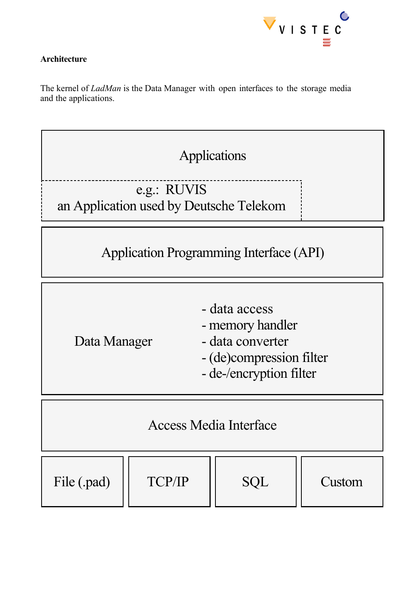

### Architecture

The kernel of *LadMan* is the Data Manager with open interfaces to the storage media and the applications.

# Applications

# e.g.: RUVIS an Application used by Deutsche Telekom

Application Programming Interface (API)

| Data Manager | - data access<br>- memory handler<br>- data converter<br>- (de)compression filter<br>- de-/encryption filter |
|--------------|--------------------------------------------------------------------------------------------------------------|
|--------------|--------------------------------------------------------------------------------------------------------------|

|  | <b>Access Media Interface</b> |
|--|-------------------------------|
|  |                               |

| File (.pad) | TCP/IP | <b>lustom</b> |
|-------------|--------|---------------|
|             |        |               |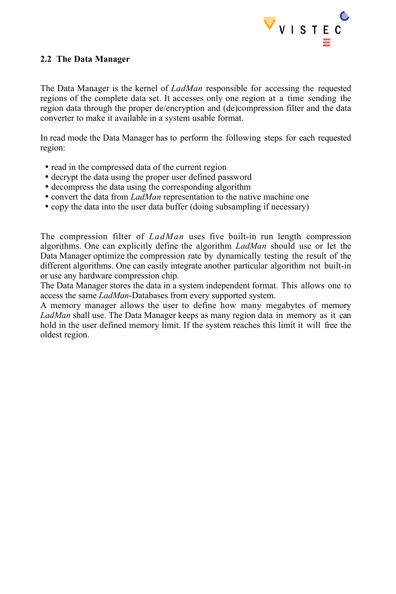

#### 2.2 The Data Manager

The Data Manager is the kernel of *LadMan* responsible for accessing the requested regions of the complete data set. It accesses only one region at a time sending the region data through the proper de/encryption and (de)compression filter and the data converter to make it available in a system usable format.

In read mode the Data Manager has to perform the following steps for each requested region:

- read in the compressed data of the current region
- decrypt the data using the proper user defined password
- decompress the data using the corresponding algorithm
- convert the data from *LadMan* representation to the native machine one
- copy the data into the user data buffer (doing subsampling if necessary)

The compression filter of *LadMan* uses five built-in run length compression algorithms. One can explicitly define the algorithm *LadMan* should use or let the Data Manager optimize the compression rate by dynamically testing the result of the different algorithms. One can easily integrate another particular algorithm not built-in or use any hardware compression chip*.*

The Data Manager stores the data in a system independent format. This allows one to access the same *LadMan*-Databases from every supported system.

A memory manager allows the user to define how many megabytes of memory *LadMan* shall use. The Data Manager keeps as many region data in memory as it can hold in the user defined memory limit. If the system reaches this limit it will free the oldest region.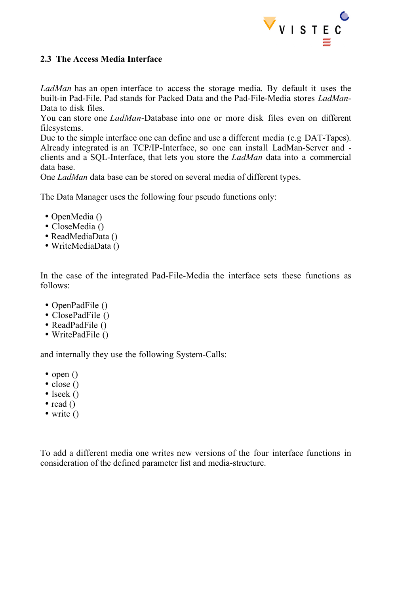

### 2.3 The Access Media Interface

*LadMan* has an open interface to access the storage media. By default it uses the built-in Pad-File. Pad stands for Packed Data and the Pad-File-Media stores *LadMan*-Data to disk files.

You can store one *LadMan*-Database into one or more disk files even on different filesystems.

Due to the simple interface one can define and use a different media (e.g DAT-Tapes). Already integrated is an TCP/IP-Interface, so one can install LadMan-Server and clients and a SQL-Interface, that lets you store the *LadMan* data into a commercial data base.

One *LadMan* data base can be stored on several media of different types.

The Data Manager uses the following four pseudo functions only:

- OpenMedia ()
- CloseMedia ()
- ReadMediaData ()
- WriteMediaData ()

In the case of the integrated Pad-File-Media the interface sets these functions as follows:

- OpenPadFile ()
- ClosePadFile ()
- ReadPadFile ()
- WritePadFile ()

and internally they use the following System-Calls:

- open  $()$
- close  $()$
- lseek ()
- read  $()$
- write  $()$

To add a different media one writes new versions of the four interface functions in consideration of the defined parameter list and media-structure.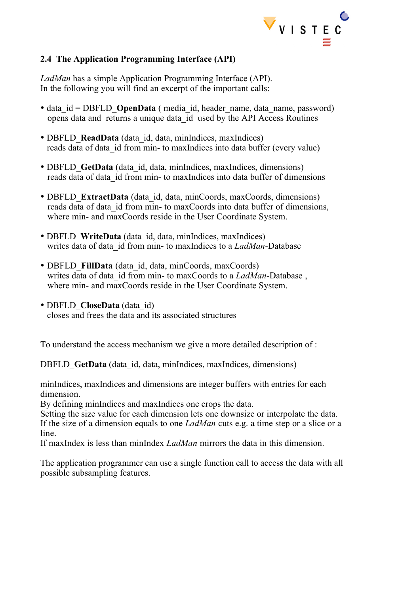

### 2.4 The Application Programming Interface (API)

*LadMan* has a simple Application Programming Interface (API). In the following you will find an excerpt of the important calls:

- data id = DBFLD OpenData ( media id, header name, data name, password) opens data and returns a unique data\_id used by the API Access Routines
- DBFLD ReadData (data id, data, minIndices, maxIndices) reads data of data id from min- to maxIndices into data buffer (every value)
- DBFLD GetData (data id, data, minIndices, maxIndices, dimensions) reads data of data\_id from min- to maxIndices into data buffer of dimensions
- DBFLD ExtractData (data id, data, minCoords, maxCoords, dimensions) reads data of data id from min- to maxCoords into data buffer of dimensions, where min- and maxCoords reside in the User Coordinate System.
- DBFLD WriteData (data id, data, minIndices, maxIndices) writes data of data\_id from min- to maxIndices to a *LadMan-*Database
- DBFLD FillData (data id, data, minCoords, maxCoords) writes data of data\_id from min- to maxCoords to a *LadMan-*Database , where min- and maxCoords reside in the User Coordinate System.
- DBFLD CloseData (data id) closes and frees the data and its associated structures

To understand the access mechanism we give a more detailed description of :

DBFLD GetData (data id, data, minIndices, maxIndices, dimensions)

minIndices, maxIndices and dimensions are integer buffers with entries for each dimension.

By defining minIndices and maxIndices one crops the data.

Setting the size value for each dimension lets one downsize or interpolate the data. If the size of a dimension equals to one *LadMan* cuts e.g. a time step or a slice or a line.

If maxIndex is less than minIndex *LadMan* mirrors the data in this dimension.

The application programmer can use a single function call to access the data with all possible subsampling features.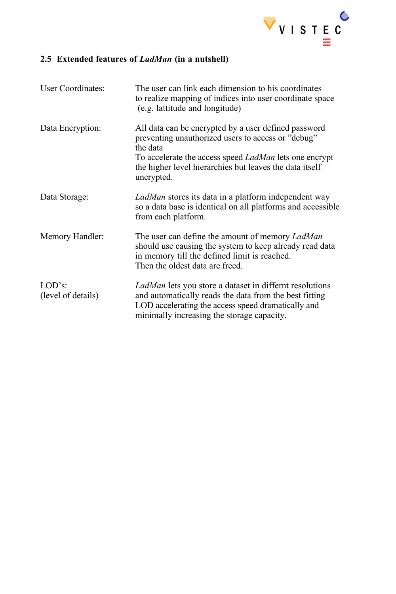

### 2.5 Extended features of *LadMan* (in a nutshell)

| User Coordinates:            | The user can link each dimension to his coordinates<br>to realize mapping of indices into user coordinate space<br>(e.g. lattitude and longitude)                                                                                                                |  |
|------------------------------|------------------------------------------------------------------------------------------------------------------------------------------------------------------------------------------------------------------------------------------------------------------|--|
| Data Encryption:             | All data can be encrypted by a user defined password<br>preventing unauthorized users to access or "debug"<br>the data<br>To accelerate the access speed <i>LadMan</i> lets one encrypt<br>the higher level hierarchies but leaves the data itself<br>uncrypted. |  |
| Data Storage:                | <i>LadMan</i> stores its data in a platform independent way<br>so a data base is identical on all platforms and accessible<br>from each platform.                                                                                                                |  |
| Memory Handler:              | The user can define the amount of memory <i>LadMan</i><br>should use causing the system to keep already read data<br>in memory till the defined limit is reached.<br>Then the oldest data are freed.                                                             |  |
| LOD's:<br>(level of details) | <i>LadMan</i> lets you store a dataset in differnt resolutions<br>and automatically reads the data from the best fitting<br>LOD accelerating the access speed dramatically and<br>minimally increasing the storage capacity.                                     |  |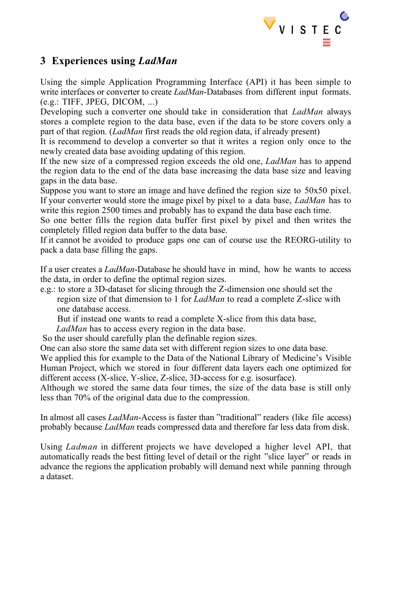

## 3 Experiences using *LadMan*

Using the simple Application Programming Interface (API) it has been simple to write interfaces or converter to create *LadMan*-Databases from different input formats. (e.g.: TIFF, JPEG, DICOM, ...)

Developing such a converter one should take in consideration that *LadMan* always stores a complete region to the data base, even if the data to be store covers only a part of that region. (*LadMan* first reads the old region data, if already present)

It is recommend to develop a converter so that it writes a region only once to the newly created data base avoiding updating of this region.

If the new size of a compressed region exceeds the old one, *LadMan* has to append the region data to the end of the data base increasing the data base size and leaving gaps in the data base.

Suppose you want to store an image and have defined the region size to 50x50 pixel. If your converter would store the image pixel by pixel to a data base, *LadMan* has to write this region 2500 times and probably has to expand the data base each time.

So one better fills the region data buffer first pixel by pixel and then writes the completely filled region data buffer to the data base.

If it cannot be avoided to produce gaps one can of course use the REORG-utility to pack a data base filling the gaps.

If a user creates a *LadMan*-Database he should have in mind, how he wants to access the data, in order to define the optimal region sizes.

e.g.: to store a 3D-dataset for slicing through the Z-dimension one should set the region size of that dimension to 1 for *LadMan* to read a complete Z-slice with one database access.

But if instead one wants to read a complete X-slice from this data base,

*LadMan* has to access every region in the data base.

So the user should carefully plan the definable region sizes.

One can also store the same data set with different region sizes to one data base.

We applied this for example to the Data of the National Library of Medicine's Visible Human Project, which we stored in four different data layers each one optimized for different access (X-slice, Y-slice, Z-slice, 3D-access for e.g. isosurface).

Although we stored the same data four times, the size of the data base is still only less than 70% of the original data due to the compression.

In almost all cases *LadMan*-Access is faster than "traditional" readers (like file access) probably because *LadMan* reads compressed data and therefore far less data from disk.

Using *Ladman* in different projects we have developed a higher level API, that automatically reads the best fitting level of detail or the right "slice layer" or reads in advance the regions the application probably will demand next while panning through a dataset.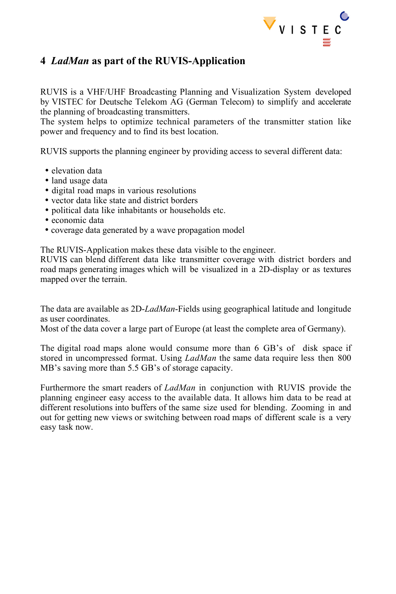

## 4 *LadMan* as part of the RUVIS-Application

RUVIS is a VHF/UHF Broadcasting Planning and Visualization System developed by VISTEC for Deutsche Telekom AG (German Telecom) to simplify and accelerate the planning of broadcasting transmitters.

The system helps to optimize technical parameters of the transmitter station like power and frequency and to find its best location.

RUVIS supports the planning engineer by providing access to several different data:

- elevation data
- land usage data
- digital road maps in various resolutions
- vector data like state and district borders
- political data like inhabitants or households etc.
- economic data
- coverage data generated by a wave propagation model

The RUVIS-Application makes these data visible to the engineer.

RUVIS can blend different data like transmitter coverage with district borders and road maps generating images which will be visualized in a 2D-display or as textures mapped over the terrain.

The data are available as 2D-*LadMan*-Fields using geographical latitude and longitude as user coordinates.

Most of the data cover a large part of Europe (at least the complete area of Germany).

The digital road maps alone would consume more than 6 GB's of disk space if stored in uncompressed format. Using *LadMan* the same data require less then 800 MB's saving more than 5.5 GB's of storage capacity.

Furthermore the smart readers of *LadMan* in conjunction with RUVIS provide the planning engineer easy access to the available data. It allows him data to be read at different resolutions into buffers of the same size used for blending. Zooming in and out for getting new views or switching between road maps of different scale is a very easy task now.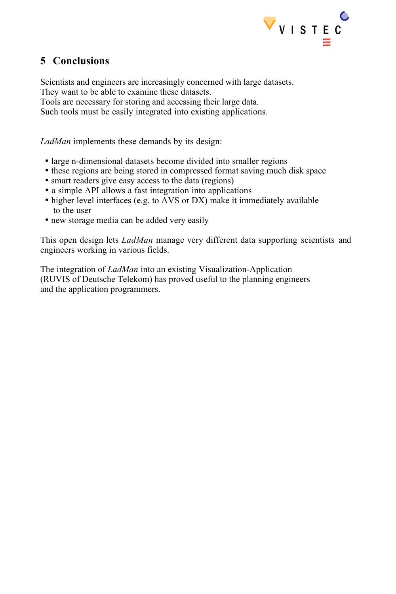

## 5 Conclusions

Scientists and engineers are increasingly concerned with large datasets. They want to be able to examine these datasets.

Tools are necessary for storing and accessing their large data.

Such tools must be easily integrated into existing applications.

*LadMan* implements these demands by its design:

- large n-dimensional datasets become divided into smaller regions
- these regions are being stored in compressed format saving much disk space
- smart readers give easy access to the data (regions)
- a simple API allows a fast integration into applications
- higher level interfaces (e.g. to AVS or DX) make it immediately available to the user
- new storage media can be added very easily

This open design lets *LadMan* manage very different data supporting scientists and engineers working in various fields.

The integration of *LadMan* into an existing Visualization-Application (RUVIS of Deutsche Telekom) has proved useful to the planning engineers and the application programmers.